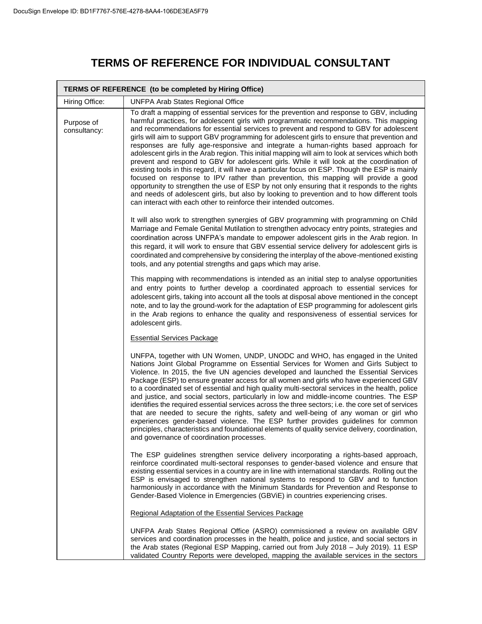## **TERMS OF REFERENCE FOR INDIVIDUAL CONSULTANT**

| TERMS OF REFERENCE (to be completed by Hiring Office) |                                                                                                                                                                                                                                                                                                                                                                                                                                                                                                                                                                                                                                                                                                                                                                                                                                                                                                                                                                                                                                                                                                                                          |  |
|-------------------------------------------------------|------------------------------------------------------------------------------------------------------------------------------------------------------------------------------------------------------------------------------------------------------------------------------------------------------------------------------------------------------------------------------------------------------------------------------------------------------------------------------------------------------------------------------------------------------------------------------------------------------------------------------------------------------------------------------------------------------------------------------------------------------------------------------------------------------------------------------------------------------------------------------------------------------------------------------------------------------------------------------------------------------------------------------------------------------------------------------------------------------------------------------------------|--|
| Hiring Office:                                        | <b>UNFPA Arab States Regional Office</b>                                                                                                                                                                                                                                                                                                                                                                                                                                                                                                                                                                                                                                                                                                                                                                                                                                                                                                                                                                                                                                                                                                 |  |
| Purpose of<br>consultancy:                            | To draft a mapping of essential services for the prevention and response to GBV, including<br>harmful practices, for adolescent girls with programmatic recommendations. This mapping<br>and recommendations for essential services to prevent and respond to GBV for adolescent<br>girls will aim to support GBV programming for adolescent girls to ensure that prevention and<br>responses are fully age-responsive and integrate a human-rights based approach for<br>adolescent girls in the Arab region. This initial mapping will aim to look at services which both<br>prevent and respond to GBV for adolescent girls. While it will look at the coordination of<br>existing tools in this regard, it will have a particular focus on ESP. Though the ESP is mainly<br>focused on response to IPV rather than prevention, this mapping will provide a good<br>opportunity to strengthen the use of ESP by not only ensuring that it responds to the rights<br>and needs of adolescent girls, but also by looking to prevention and to how different tools<br>can interact with each other to reinforce their intended outcomes. |  |
|                                                       | It will also work to strengthen synergies of GBV programming with programming on Child<br>Marriage and Female Genital Mutilation to strengthen advocacy entry points, strategies and<br>coordination across UNFPA's mandate to empower adolescent girls in the Arab region. In<br>this regard, it will work to ensure that GBV essential service delivery for adolescent girls is<br>coordinated and comprehensive by considering the interplay of the above-mentioned existing<br>tools, and any potential strengths and gaps which may arise.                                                                                                                                                                                                                                                                                                                                                                                                                                                                                                                                                                                          |  |
|                                                       | This mapping with recommendations is intended as an initial step to analyse opportunities<br>and entry points to further develop a coordinated approach to essential services for<br>adolescent girls, taking into account all the tools at disposal above mentioned in the concept<br>note, and to lay the ground-work for the adaptation of ESP programming for adolescent girls<br>in the Arab regions to enhance the quality and responsiveness of essential services for<br>adolescent girls.                                                                                                                                                                                                                                                                                                                                                                                                                                                                                                                                                                                                                                       |  |
|                                                       | <b>Essential Services Package</b>                                                                                                                                                                                                                                                                                                                                                                                                                                                                                                                                                                                                                                                                                                                                                                                                                                                                                                                                                                                                                                                                                                        |  |
|                                                       | UNFPA, together with UN Women, UNDP, UNODC and WHO, has engaged in the United<br>Nations Joint Global Programme on Essential Services for Women and Girls Subject to<br>Violence. In 2015, the five UN agencies developed and launched the Essential Services<br>Package (ESP) to ensure greater access for all women and girls who have experienced GBV<br>to a coordinated set of essential and high quality multi-sectoral services in the health, police<br>and justice, and social sectors, particularly in low and middle-income countries. The ESP<br>identifies the required essential services across the three sectors; i.e. the core set of services<br>that are needed to secure the rights, safety and well-being of any woman or girl who<br>experiences gender-based violence. The ESP further provides guidelines for common<br>principles, characteristics and foundational elements of quality service delivery, coordination,<br>and governance of coordination processes.                                                                                                                                            |  |
|                                                       | The ESP guidelines strengthen service delivery incorporating a rights-based approach,<br>reinforce coordinated multi-sectoral responses to gender-based violence and ensure that<br>existing essential services in a country are in line with international standards. Rolling out the<br>ESP is envisaged to strengthen national systems to respond to GBV and to function<br>harmoniously in accordance with the Minimum Standards for Prevention and Response to<br>Gender-Based Violence in Emergencies (GBViE) in countries experiencing crises.                                                                                                                                                                                                                                                                                                                                                                                                                                                                                                                                                                                    |  |
|                                                       | Regional Adaptation of the Essential Services Package                                                                                                                                                                                                                                                                                                                                                                                                                                                                                                                                                                                                                                                                                                                                                                                                                                                                                                                                                                                                                                                                                    |  |
|                                                       | UNFPA Arab States Regional Office (ASRO) commissioned a review on available GBV<br>services and coordination processes in the health, police and justice, and social sectors in<br>the Arab states (Regional ESP Mapping, carried out from July 2018 - July 2019). 11 ESP<br>validated Country Reports were developed, mapping the available services in the sectors                                                                                                                                                                                                                                                                                                                                                                                                                                                                                                                                                                                                                                                                                                                                                                     |  |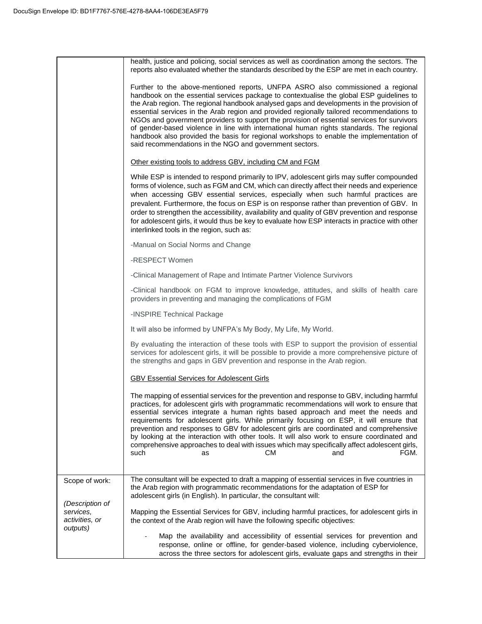|                                                            | health, justice and policing, social services as well as coordination among the sectors. The<br>reports also evaluated whether the standards described by the ESP are met in each country.                                                                                                                                                                                                                                                                                                                                                                                                                                                                                                                            |
|------------------------------------------------------------|-----------------------------------------------------------------------------------------------------------------------------------------------------------------------------------------------------------------------------------------------------------------------------------------------------------------------------------------------------------------------------------------------------------------------------------------------------------------------------------------------------------------------------------------------------------------------------------------------------------------------------------------------------------------------------------------------------------------------|
|                                                            | Further to the above-mentioned reports, UNFPA ASRO also commissioned a regional<br>handbook on the essential services package to contextualise the global ESP guidelines to<br>the Arab region. The regional handbook analysed gaps and developments in the provision of<br>essential services in the Arab region and provided regionally tailored recommendations to<br>NGOs and government providers to support the provision of essential services for survivors<br>of gender-based violence in line with international human rights standards. The regional<br>handbook also provided the basis for regional workshops to enable the implementation of<br>said recommendations in the NGO and government sectors. |
|                                                            | Other existing tools to address GBV, including CM and FGM                                                                                                                                                                                                                                                                                                                                                                                                                                                                                                                                                                                                                                                             |
|                                                            | While ESP is intended to respond primarily to IPV, adolescent girls may suffer compounded<br>forms of violence, such as FGM and CM, which can directly affect their needs and experience<br>when accessing GBV essential services, especially when such harmful practices are<br>prevalent. Furthermore, the focus on ESP is on response rather than prevention of GBV. In<br>order to strengthen the accessibility, availability and quality of GBV prevention and response<br>for adolescent girls, it would thus be key to evaluate how ESP interacts in practice with other<br>interlinked tools in the region, such as:                                                                                          |
|                                                            | -Manual on Social Norms and Change                                                                                                                                                                                                                                                                                                                                                                                                                                                                                                                                                                                                                                                                                    |
|                                                            | -RESPECT Women                                                                                                                                                                                                                                                                                                                                                                                                                                                                                                                                                                                                                                                                                                        |
|                                                            | -Clinical Management of Rape and Intimate Partner Violence Survivors                                                                                                                                                                                                                                                                                                                                                                                                                                                                                                                                                                                                                                                  |
|                                                            | -Clinical handbook on FGM to improve knowledge, attitudes, and skills of health care<br>providers in preventing and managing the complications of FGM                                                                                                                                                                                                                                                                                                                                                                                                                                                                                                                                                                 |
|                                                            | -INSPIRE Technical Package                                                                                                                                                                                                                                                                                                                                                                                                                                                                                                                                                                                                                                                                                            |
|                                                            | It will also be informed by UNFPA's My Body, My Life, My World.                                                                                                                                                                                                                                                                                                                                                                                                                                                                                                                                                                                                                                                       |
|                                                            | By evaluating the interaction of these tools with ESP to support the provision of essential<br>services for adolescent girls, it will be possible to provide a more comprehensive picture of<br>the strengths and gaps in GBV prevention and response in the Arab region.                                                                                                                                                                                                                                                                                                                                                                                                                                             |
|                                                            | <b>GBV Essential Services for Adolescent Girls</b>                                                                                                                                                                                                                                                                                                                                                                                                                                                                                                                                                                                                                                                                    |
|                                                            | The mapping of essential services for the prevention and response to GBV, including harmful<br>practices, for adolescent girls with programmatic recommendations will work to ensure that<br>essential services integrate a human rights based approach and meet the needs and<br>requirements for adolescent girls. While primarily focusing on ESP, it will ensure that<br>prevention and responses to GBV for adolescent girls are coordinated and comprehensive<br>by looking at the interaction with other tools. It will also work to ensure coordinated and<br>comprehensive approaches to deal with issues which may specifically affect adolescent girls,<br>such<br>CМ<br>and<br>FGM.<br>as                 |
| Scope of work:                                             | The consultant will be expected to draft a mapping of essential services in five countries in<br>the Arab region with programmatic recommendations for the adaptation of ESP for<br>adolescent girls (in English). In particular, the consultant will:                                                                                                                                                                                                                                                                                                                                                                                                                                                                |
| (Description of<br>services,<br>activities, or<br>outputs) | Mapping the Essential Services for GBV, including harmful practices, for adolescent girls in<br>the context of the Arab region will have the following specific objectives:                                                                                                                                                                                                                                                                                                                                                                                                                                                                                                                                           |
|                                                            | Map the availability and accessibility of essential services for prevention and<br>response, online or offline, for gender-based violence, including cyberviolence,<br>across the three sectors for adolescent girls, evaluate gaps and strengths in their                                                                                                                                                                                                                                                                                                                                                                                                                                                            |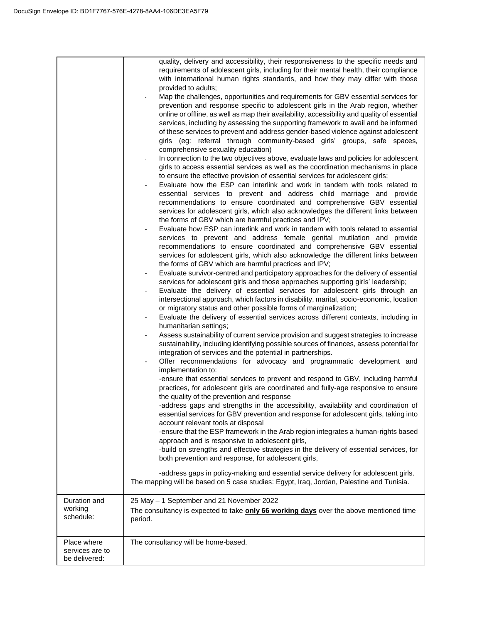|                                                 | quality, delivery and accessibility, their responsiveness to the specific needs and<br>requirements of adolescent girls, including for their mental health, their compliance<br>with international human rights standards, and how they may differ with those<br>provided to adults;<br>Map the challenges, opportunities and requirements for GBV essential services for<br>prevention and response specific to adolescent girls in the Arab region, whether<br>online or offline, as well as map their availability, accessibility and quality of essential<br>services, including by assessing the supporting framework to avail and be informed<br>of these services to prevent and address gender-based violence against adolescent<br>girls (eg: referral through community-based girls' groups, safe spaces,<br>comprehensive sexuality education)<br>In connection to the two objectives above, evaluate laws and policies for adolescent<br>girls to access essential services as well as the coordination mechanisms in place<br>to ensure the effective provision of essential services for adolescent girls;<br>Evaluate how the ESP can interlink and work in tandem with tools related to<br>essential services to prevent and address child marriage and provide<br>recommendations to ensure coordinated and comprehensive GBV essential<br>services for adolescent girls, which also acknowledges the different links between<br>the forms of GBV which are harmful practices and IPV;<br>Evaluate how ESP can interlink and work in tandem with tools related to essential<br>services to prevent and address female genital mutilation and provide<br>recommendations to ensure coordinated and comprehensive GBV essential<br>services for adolescent girls, which also acknowledge the different links between<br>the forms of GBV which are harmful practices and IPV;<br>Evaluate survivor-centred and participatory approaches for the delivery of essential<br>services for adolescent girls and those approaches supporting girls' leadership;<br>Evaluate the delivery of essential services for adolescent girls through an<br>intersectional approach, which factors in disability, marital, socio-economic, location<br>or migratory status and other possible forms of marginalization;<br>Evaluate the delivery of essential services across different contexts, including in<br>humanitarian settings;<br>Assess sustainability of current service provision and suggest strategies to increase<br>sustainability, including identifying possible sources of finances, assess potential for<br>integration of services and the potential in partnerships.<br>Offer recommendations for advocacy and programmatic development and<br>implementation to:<br>-ensure that essential services to prevent and respond to GBV, including harmful<br>practices, for adolescent girls are coordinated and fully-age responsive to ensure<br>the quality of the prevention and response<br>-address gaps and strengths in the accessibility, availability and coordination of<br>essential services for GBV prevention and response for adolescent girls, taking into<br>account relevant tools at disposal<br>-ensure that the ESP framework in the Arab region integrates a human-rights based<br>approach and is responsive to adolescent girls,<br>-build on strengths and effective strategies in the delivery of essential services, for<br>both prevention and response, for adolescent girls,<br>-address gaps in policy-making and essential service delivery for adolescent girls.<br>The mapping will be based on 5 case studies: Egypt, Iraq, Jordan, Palestine and Tunisia. |
|-------------------------------------------------|------------------------------------------------------------------------------------------------------------------------------------------------------------------------------------------------------------------------------------------------------------------------------------------------------------------------------------------------------------------------------------------------------------------------------------------------------------------------------------------------------------------------------------------------------------------------------------------------------------------------------------------------------------------------------------------------------------------------------------------------------------------------------------------------------------------------------------------------------------------------------------------------------------------------------------------------------------------------------------------------------------------------------------------------------------------------------------------------------------------------------------------------------------------------------------------------------------------------------------------------------------------------------------------------------------------------------------------------------------------------------------------------------------------------------------------------------------------------------------------------------------------------------------------------------------------------------------------------------------------------------------------------------------------------------------------------------------------------------------------------------------------------------------------------------------------------------------------------------------------------------------------------------------------------------------------------------------------------------------------------------------------------------------------------------------------------------------------------------------------------------------------------------------------------------------------------------------------------------------------------------------------------------------------------------------------------------------------------------------------------------------------------------------------------------------------------------------------------------------------------------------------------------------------------------------------------------------------------------------------------------------------------------------------------------------------------------------------------------------------------------------------------------------------------------------------------------------------------------------------------------------------------------------------------------------------------------------------------------------------------------------------------------------------------------------------------------------------------------------------------------------------------------------------------------------------------------------------------------------------------------------------------------------------------------------------------------------------------------------------------------------------------------------------------------------------------------------------------------------------------------------------------------------------------------------------------------------------------------------------------------------------------------------------------------------------------------------------|
|                                                 |                                                                                                                                                                                                                                                                                                                                                                                                                                                                                                                                                                                                                                                                                                                                                                                                                                                                                                                                                                                                                                                                                                                                                                                                                                                                                                                                                                                                                                                                                                                                                                                                                                                                                                                                                                                                                                                                                                                                                                                                                                                                                                                                                                                                                                                                                                                                                                                                                                                                                                                                                                                                                                                                                                                                                                                                                                                                                                                                                                                                                                                                                                                                                                                                                                                                                                                                                                                                                                                                                                                                                                                                                                                                                                                  |
| Duration and<br>working<br>schedule:            | 25 May - 1 September and 21 November 2022<br>The consultancy is expected to take <b>only 66 working days</b> over the above mentioned time<br>period.                                                                                                                                                                                                                                                                                                                                                                                                                                                                                                                                                                                                                                                                                                                                                                                                                                                                                                                                                                                                                                                                                                                                                                                                                                                                                                                                                                                                                                                                                                                                                                                                                                                                                                                                                                                                                                                                                                                                                                                                                                                                                                                                                                                                                                                                                                                                                                                                                                                                                                                                                                                                                                                                                                                                                                                                                                                                                                                                                                                                                                                                                                                                                                                                                                                                                                                                                                                                                                                                                                                                                            |
| Place where<br>services are to<br>be delivered: | The consultancy will be home-based.                                                                                                                                                                                                                                                                                                                                                                                                                                                                                                                                                                                                                                                                                                                                                                                                                                                                                                                                                                                                                                                                                                                                                                                                                                                                                                                                                                                                                                                                                                                                                                                                                                                                                                                                                                                                                                                                                                                                                                                                                                                                                                                                                                                                                                                                                                                                                                                                                                                                                                                                                                                                                                                                                                                                                                                                                                                                                                                                                                                                                                                                                                                                                                                                                                                                                                                                                                                                                                                                                                                                                                                                                                                                              |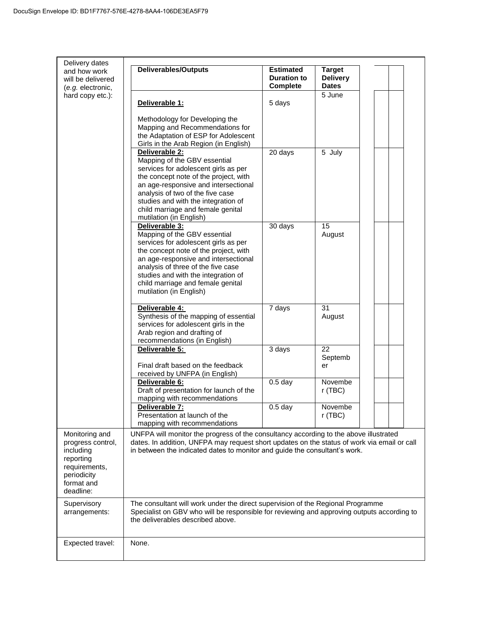| Delivery dates                                                                                                           |                                                                                                                                                                                                                                                                                                                      |                                                           |                                                  |  |
|--------------------------------------------------------------------------------------------------------------------------|----------------------------------------------------------------------------------------------------------------------------------------------------------------------------------------------------------------------------------------------------------------------------------------------------------------------|-----------------------------------------------------------|--------------------------------------------------|--|
| and how work<br>will be delivered<br>(e.g. electronic,                                                                   | <b>Deliverables/Outputs</b>                                                                                                                                                                                                                                                                                          | <b>Estimated</b><br><b>Duration to</b><br><b>Complete</b> | <b>Target</b><br><b>Delivery</b><br><b>Dates</b> |  |
| hard copy etc.):                                                                                                         | Deliverable 1:                                                                                                                                                                                                                                                                                                       | 5 days                                                    | 5 June                                           |  |
|                                                                                                                          | Methodology for Developing the<br>Mapping and Recommendations for<br>the Adaptation of ESP for Adolescent<br>Girls in the Arab Region (in English)                                                                                                                                                                   |                                                           |                                                  |  |
|                                                                                                                          | Deliverable 2:<br>Mapping of the GBV essential<br>services for adolescent girls as per<br>the concept note of the project, with<br>an age-responsive and intersectional<br>analysis of two of the five case<br>studies and with the integration of<br>child marriage and female genital<br>mutilation (in English)   | 20 days                                                   | 5 July                                           |  |
|                                                                                                                          | Deliverable 3:<br>Mapping of the GBV essential<br>services for adolescent girls as per<br>the concept note of the project, with<br>an age-responsive and intersectional<br>analysis of three of the five case<br>studies and with the integration of<br>child marriage and female genital<br>mutilation (in English) | 30 days                                                   | 15<br>August                                     |  |
|                                                                                                                          | Deliverable 4:<br>Synthesis of the mapping of essential<br>services for adolescent girls in the<br>Arab region and drafting of<br>recommendations (in English)                                                                                                                                                       | 7 days                                                    | 31<br>August                                     |  |
|                                                                                                                          | Deliverable 5:<br>Final draft based on the feedback<br>received by UNFPA (in English)                                                                                                                                                                                                                                | $\overline{3}$ days                                       | 22<br>Septemb<br>er                              |  |
|                                                                                                                          | Deliverable 6:<br>Draft of presentation for launch of the<br>mapping with recommendations                                                                                                                                                                                                                            | $0.5$ day                                                 | Novembe<br>$r$ (TBC)                             |  |
|                                                                                                                          | Deliverable 7:<br>Presentation at launch of the<br>mapping with recommendations                                                                                                                                                                                                                                      | 0.5 <sub>day</sub>                                        | Novembe<br>r (TBC)                               |  |
| Monitoring and<br>progress control,<br>including<br>reporting<br>requirements,<br>periodicity<br>format and<br>deadline: | UNFPA will monitor the progress of the consultancy according to the above illustrated<br>dates. In addition, UNFPA may request short updates on the status of work via email or call<br>in between the indicated dates to monitor and guide the consultant's work.                                                   |                                                           |                                                  |  |
| Supervisory<br>arrangements:                                                                                             | The consultant will work under the direct supervision of the Regional Programme<br>Specialist on GBV who will be responsible for reviewing and approving outputs according to<br>the deliverables described above.                                                                                                   |                                                           |                                                  |  |
| Expected travel:                                                                                                         | None.                                                                                                                                                                                                                                                                                                                |                                                           |                                                  |  |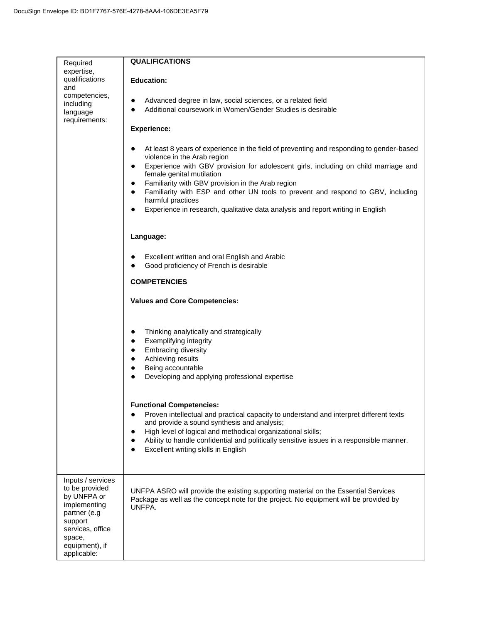| Required<br>expertise,                                                                                                                        | <b>QUALIFICATIONS</b>                                                                                                                                                                                                                                                                                                                                                                                                            |
|-----------------------------------------------------------------------------------------------------------------------------------------------|----------------------------------------------------------------------------------------------------------------------------------------------------------------------------------------------------------------------------------------------------------------------------------------------------------------------------------------------------------------------------------------------------------------------------------|
| qualifications<br>and                                                                                                                         | <b>Education:</b>                                                                                                                                                                                                                                                                                                                                                                                                                |
| competencies,<br>including<br>language                                                                                                        | Advanced degree in law, social sciences, or a related field<br>$\bullet$<br>Additional coursework in Women/Gender Studies is desirable<br>$\bullet$                                                                                                                                                                                                                                                                              |
| requirements:                                                                                                                                 | <b>Experience:</b>                                                                                                                                                                                                                                                                                                                                                                                                               |
|                                                                                                                                               | At least 8 years of experience in the field of preventing and responding to gender-based<br>$\bullet$<br>violence in the Arab region<br>Experience with GBV provision for adolescent girls, including on child marriage and<br>$\bullet$<br>female genital mutilation<br>Familiarity with GBV provision in the Arab region<br>$\bullet$<br>Familiarity with ESP and other UN tools to prevent and respond to GBV, including<br>٠ |
|                                                                                                                                               | harmful practices                                                                                                                                                                                                                                                                                                                                                                                                                |
|                                                                                                                                               | Experience in research, qualitative data analysis and report writing in English<br>$\bullet$                                                                                                                                                                                                                                                                                                                                     |
|                                                                                                                                               | Language:                                                                                                                                                                                                                                                                                                                                                                                                                        |
|                                                                                                                                               | Excellent written and oral English and Arabic                                                                                                                                                                                                                                                                                                                                                                                    |
|                                                                                                                                               | Good proficiency of French is desirable<br>٠                                                                                                                                                                                                                                                                                                                                                                                     |
|                                                                                                                                               | <b>COMPETENCIES</b>                                                                                                                                                                                                                                                                                                                                                                                                              |
|                                                                                                                                               | <b>Values and Core Competencies:</b>                                                                                                                                                                                                                                                                                                                                                                                             |
|                                                                                                                                               |                                                                                                                                                                                                                                                                                                                                                                                                                                  |
|                                                                                                                                               | Thinking analytically and strategically<br>$\bullet$<br>Exemplifying integrity<br>$\bullet$                                                                                                                                                                                                                                                                                                                                      |
|                                                                                                                                               | <b>Embracing diversity</b><br>$\bullet$<br>Achieving results<br>٠                                                                                                                                                                                                                                                                                                                                                                |
|                                                                                                                                               | Being accountable<br>$\bullet$                                                                                                                                                                                                                                                                                                                                                                                                   |
|                                                                                                                                               | Developing and applying professional expertise                                                                                                                                                                                                                                                                                                                                                                                   |
|                                                                                                                                               |                                                                                                                                                                                                                                                                                                                                                                                                                                  |
|                                                                                                                                               | <b>Functional Competencies:</b><br>Proven intellectual and practical capacity to understand and interpret different texts<br>$\bullet$<br>and provide a sound synthesis and analysis;                                                                                                                                                                                                                                            |
|                                                                                                                                               | High level of logical and methodical organizational skills;<br>$\bullet$                                                                                                                                                                                                                                                                                                                                                         |
|                                                                                                                                               | Ability to handle confidential and politically sensitive issues in a responsible manner.<br>$\bullet$                                                                                                                                                                                                                                                                                                                            |
|                                                                                                                                               | Excellent writing skills in English                                                                                                                                                                                                                                                                                                                                                                                              |
|                                                                                                                                               |                                                                                                                                                                                                                                                                                                                                                                                                                                  |
| Inputs / services<br>to be provided<br>by UNFPA or<br>implementing<br>partner (e.g<br>support<br>services, office<br>space,<br>equipment), if | UNFPA ASRO will provide the existing supporting material on the Essential Services<br>Package as well as the concept note for the project. No equipment will be provided by<br>UNFPA.                                                                                                                                                                                                                                            |
| applicable:                                                                                                                                   |                                                                                                                                                                                                                                                                                                                                                                                                                                  |